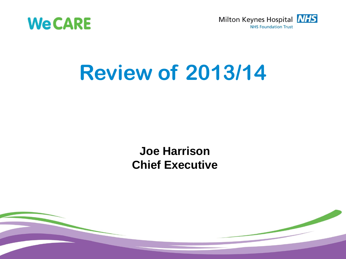



# **Review of 2013/14**

### **Joe Harrison Chief Executive**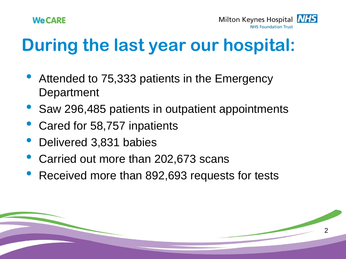

Milton Keynes Hospital **NHS NHS Foundation Trust** 

2

# **During the last year our hospital:**

- Attended to 75,333 patients in the Emergency **Department**
- Saw 296,485 patients in outpatient appointments
- Cared for 58,757 inpatients
- Delivered 3,831 babies
- Carried out more than 202,673 scans
- Received more than 892,693 requests for tests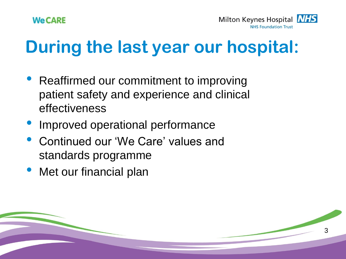Milton Keynes Hospital **NHS NHS Foundation Trust** 

3

# **During the last year our hospital:**

- Reaffirmed our commitment to improving patient safety and experience and clinical effectiveness
- Improved operational performance
- Continued our 'We Care' values and standards programme
- Met our financial plan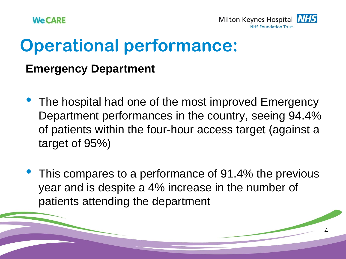



### **Operational performance:**

#### **Emergency Department**

- The hospital had one of the most improved Emergency Department performances in the country, seeing 94.4% of patients within the four-hour access target (against a target of 95%)
- This compares to a performance of 91.4% the previous year and is despite a 4% increase in the number of patients attending the department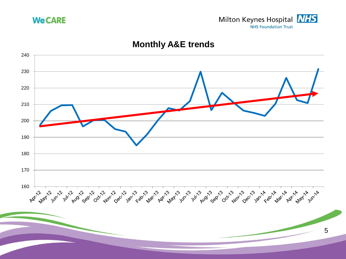



#### **Monthly A&E trends**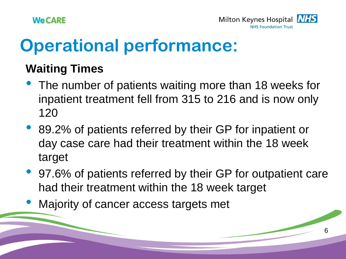



## **Operational performance:**

### **Waiting Times**

- The number of patients waiting more than 18 weeks for inpatient treatment fell from 315 to 216 and is now only 120
- 89.2% of patients referred by their GP for inpatient or day case care had their treatment within the 18 week target
- 97.6% of patients referred by their GP for outpatient care had their treatment within the 18 week target
- Majority of cancer access targets met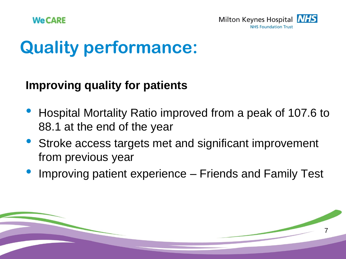

## **Quality performance:**

### **Improving quality for patients**

- Hospital Mortality Ratio improved from a peak of 107.6 to 88.1 at the end of the year
- Stroke access targets met and significant improvement from previous year
- Improving patient experience Friends and Family Test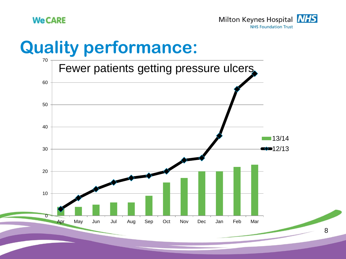



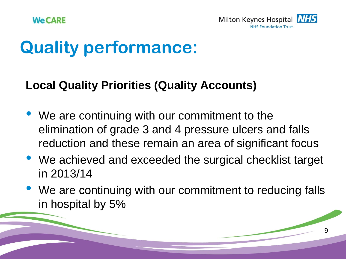

# **Quality performance:**

### **Local Quality Priorities (Quality Accounts)**

- We are continuing with our commitment to the elimination of grade 3 and 4 pressure ulcers and falls reduction and these remain an area of significant focus
- We achieved and exceeded the surgical checklist target in 2013/14
- We are continuing with our commitment to reducing falls in hospital by 5%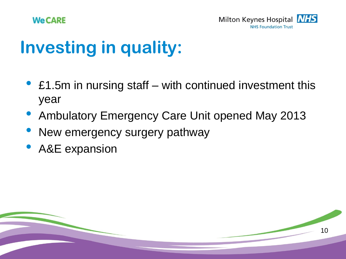



# **Investing in quality:**

- £1.5m in nursing staff with continued investment this year
- Ambulatory Emergency Care Unit opened May 2013
- New emergency surgery pathway
- A&E expansion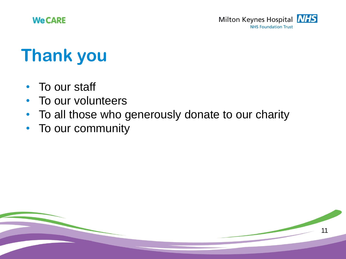

# **Thank you**

- To our staff
- To our volunteers
- To all those who generously donate to our charity
- To our community

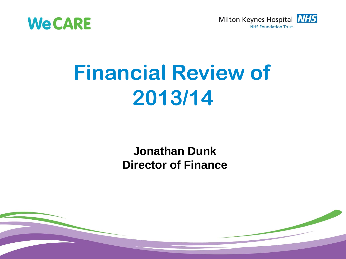



# **Financial Review of 2013/14**

### **Jonathan Dunk Director of Finance**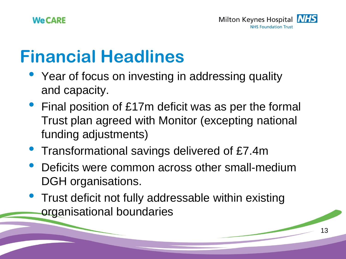# **Financial Headlines**

- Year of focus on investing in addressing quality and capacity.
- Final position of £17m deficit was as per the formal Trust plan agreed with Monitor (excepting national funding adjustments)
- Transformational savings delivered of £7.4m
- Deficits were common across other small-medium DGH organisations.
- Trust deficit not fully addressable within existing organisational boundaries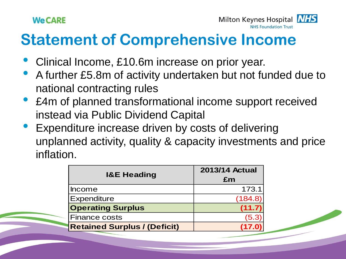

### **Statement of Comprehensive Income**

- Clinical Income, £10.6m increase on prior year.
- A further £5.8m of activity undertaken but not funded due to national contracting rules
- £4m of planned transformational income support received instead via Public Dividend Capital
- Expenditure increase driven by costs of delivering unplanned activity, quality & capacity investments and price inflation.

| <b>I&amp;E Heading</b>              | <b>2013/14 Actual</b><br>£m |
|-------------------------------------|-----------------------------|
| <b>Income</b>                       | 173.1                       |
| <b>Expenditure</b>                  | (184.8)                     |
| <b>Operating Surplus</b>            | (11.7)                      |
| <b>Finance costs</b>                | (5.3)                       |
| <b>Retained Surplus / (Deficit)</b> | (17.0                       |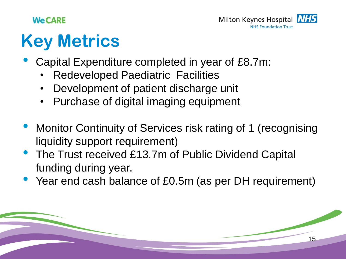

15

# **Key Metrics**

- Capital Expenditure completed in year of £8.7m:
	- Redeveloped Paediatric Facilities
	- Development of patient discharge unit
	- Purchase of digital imaging equipment
- Monitor Continuity of Services risk rating of 1 (recognising liquidity support requirement)
- The Trust received £13.7m of Public Dividend Capital funding during year.
- Year end cash balance of £0.5m (as per DH requirement)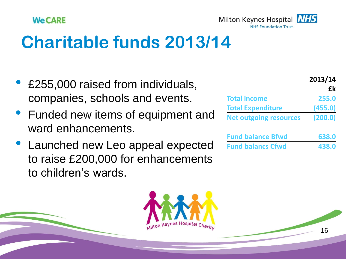

# **Charitable funds 2013/14**

- £255,000 raised from individuals, companies, schools and events.
- Funded new items of equipment and ward enhancements.
- Launched new Leo appeal expected to raise £200,000 for enhancements to children's wards.



|                               | 2013/14 |  |
|-------------------------------|---------|--|
|                               | £k      |  |
| <b>Total income</b>           | 255.0   |  |
| <b>Total Expenditure</b>      | (455.0) |  |
| <b>Net outgoing resources</b> | (200.0) |  |

| <b>Fund balance Bfwd</b> | 638.0 |
|--------------------------|-------|
| <b>Fund balancs Cfwd</b> | 438.0 |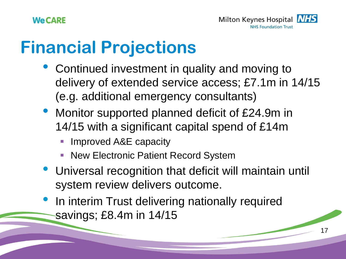# **Financial Projections**

- Continued investment in quality and moving to delivery of extended service access; £7.1m in 14/15 (e.g. additional emergency consultants)
- Monitor supported planned deficit of £24.9m in 14/15 with a significant capital spend of £14m
	- Improved A&E capacity
	- New Electronic Patient Record System
- Universal recognition that deficit will maintain until system review delivers outcome.
- In interim Trust delivering nationally required savings; £8.4m in 14/15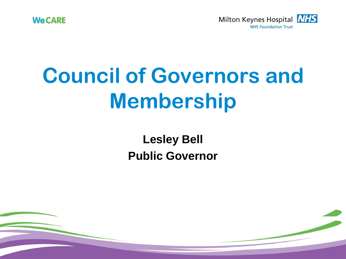

**18**

# **Council of Governors and Membership**

**Lesley Bell Public Governor**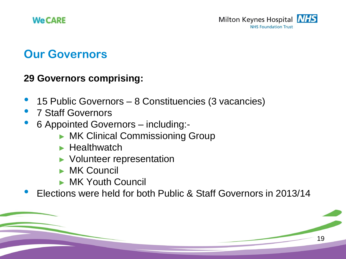### **Our Governors**

#### **29 Governors comprising:**

- 15 Public Governors 8 Constituencies (3 vacancies)
- 7 Staff Governors
- 6 Appointed Governors including:-
	- ► MK Clinical Commissioning Group
	- ► Healthwatch
	- ► Volunteer representation
	- ► MK Council
	- ► MK Youth Council
- Elections were held for both Public & Staff Governors in 2013/14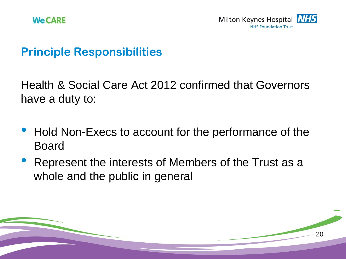

20

### **Principle Responsibilities**

Health & Social Care Act 2012 confirmed that Governors have a duty to:

- Hold Non-Execs to account for the performance of the Board
- Represent the interests of Members of the Trust as a whole and the public in general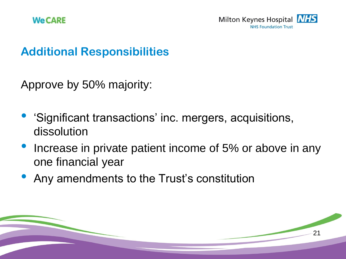21

### **Additional Responsibilities**

Approve by 50% majority:

- 'Significant transactions' inc. mergers, acquisitions, dissolution
- Increase in private patient income of 5% or above in any one financial year
- Any amendments to the Trust's constitution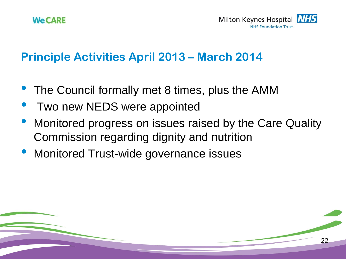



22

#### **Principle Activities April 2013 – March 2014**

- The Council formally met 8 times, plus the AMM
- Two new NEDS were appointed
- Monitored progress on issues raised by the Care Quality Commission regarding dignity and nutrition
- Monitored Trust-wide governance issues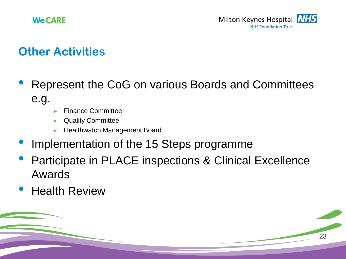

### **Other Activities**

- Represent the CoG on various Boards and Committees e.g.
	- ► Finance Committee
	- Quality Committee
	- ► Healthwatch Management Board
- Implementation of the 15 Steps programme
- Participate in PLACE inspections & Clinical Excellence Awards
- **Health Review**

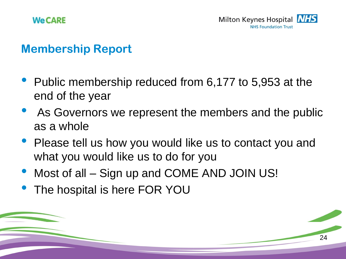



#### **Membership Report**

- Public membership reduced from 6,177 to 5,953 at the end of the year
- As Governors we represent the members and the public as a whole
- Please tell us how you would like us to contact you and what you would like us to do for you
- Most of all Sign up and COME AND JOIN US!
- The hospital is here FOR YOU

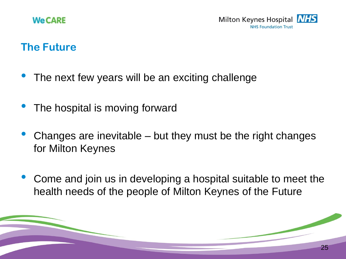#### **The Future**

- The next few years will be an exciting challenge
- The hospital is moving forward
- Changes are inevitable but they must be the right changes for Milton Keynes
- Come and join us in developing a hospital suitable to meet the health needs of the people of Milton Keynes of the Future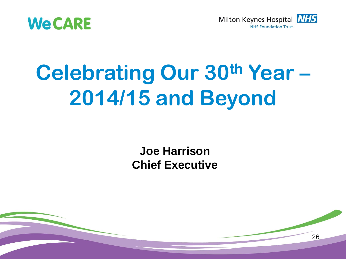



# **Celebrating Our 30th Year – 2014/15 and Beyond**

**Joe Harrison Chief Executive**

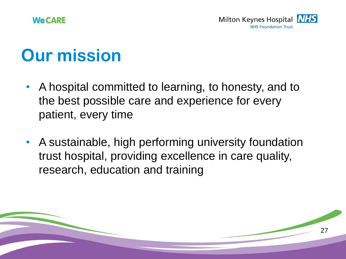

# **Our mission**

- A hospital committed to learning, to honesty, and to the best possible care and experience for every patient, every time
- A sustainable, high performing university foundation trust hospital, providing excellence in care quality, research, education and training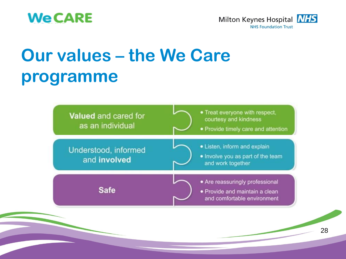



# **Our values – the We Care programme**

| <b>Valued</b> and cared for<br>as an individual | • Treat everyone with respect,<br>courtesy and kindness<br>• Provide timely care and attention   |
|-------------------------------------------------|--------------------------------------------------------------------------------------------------|
| Understood, informed<br>and involved            | • Listen, inform and explain<br>. Involve you as part of the team<br>and work together           |
| <b>Safe</b>                                     | • Are reassuringly professional<br>· Provide and maintain a clean<br>and comfortable environment |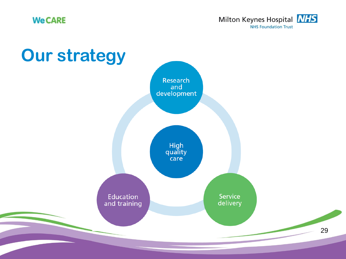

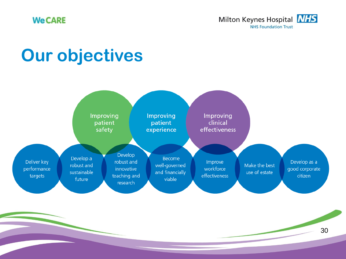

# **Our objectives**



30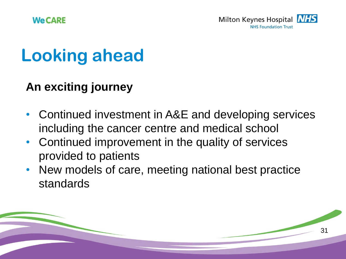# **Looking ahead**

### **An exciting journey**

- Continued investment in A&E and developing services including the cancer centre and medical school
- Continued improvement in the quality of services provided to patients
- New models of care, meeting national best practice standards

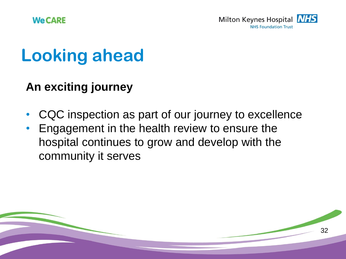# **Looking ahead**

### **An exciting journey**

- CQC inspection as part of our journey to excellence
- Engagement in the health review to ensure the hospital continues to grow and develop with the community it serves